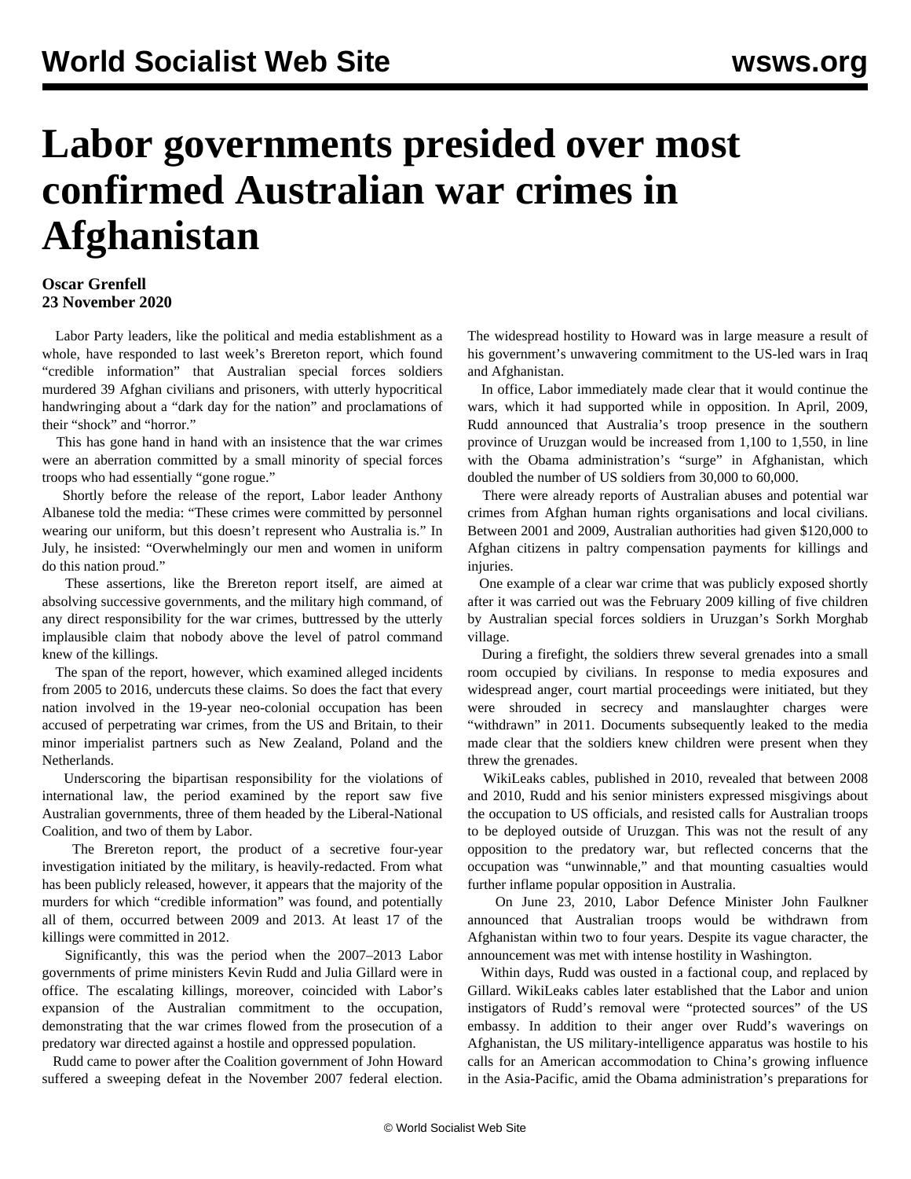## **Labor governments presided over most confirmed Australian war crimes in Afghanistan**

## **Oscar Grenfell 23 November 2020**

 Labor Party leaders, like the political and media establishment as a whole, have responded to last week's Brereton report, which found "credible information" that Australian special forces soldiers murdered 39 Afghan civilians and prisoners, with utterly hypocritical handwringing about a "dark day for the nation" and proclamations of their "shock" and "horror."

 This has gone hand in hand with an insistence that the war crimes were an aberration committed by a small minority of special forces troops who had essentially "gone rogue."

 Shortly before the release of the report, Labor leader Anthony Albanese told the media: "These crimes were committed by personnel wearing our uniform, but this doesn't represent who Australia is." In July, he insisted: "Overwhelmingly our men and women in uniform do this nation proud."

 These assertions, like the Brereton report itself, are aimed at absolving successive governments, and the military high command, of any direct responsibility for the war crimes, buttressed by the utterly implausible claim that nobody above the level of patrol command knew of the killings.

 The span of the report, however, which examined alleged incidents from 2005 to 2016, undercuts these claims. So does the fact that every nation involved in the 19-year neo-colonial occupation has been accused of perpetrating war crimes, from the US and Britain, to their minor imperialist partners such as New Zealand, Poland and the Netherlands.

 Underscoring the bipartisan responsibility for the violations of international law, the period examined by the report saw five Australian governments, three of them headed by the Liberal-National Coalition, and two of them by Labor.

 The Brereton report, the product of a secretive four-year investigation initiated by the military, is heavily-redacted. From what has been publicly released, however, it appears that the majority of the murders for which "credible information" was found, and potentially all of them, occurred between 2009 and 2013. At least 17 of the killings were committed in 2012.

 Significantly, this was the period when the 2007–2013 Labor governments of prime ministers Kevin Rudd and Julia Gillard were in office. The escalating killings, moreover, coincided with Labor's expansion of the Australian commitment to the occupation, demonstrating that the war crimes flowed from the prosecution of a predatory war directed against a hostile and oppressed population.

 Rudd came to power after the Coalition government of John Howard suffered a sweeping defeat in the November 2007 federal election.

The widespread hostility to Howard was in large measure a result of his government's unwavering commitment to the US-led wars in Iraq and Afghanistan.

 In office, Labor immediately made clear that it would continue the wars, which it had supported while in opposition. In April, 2009, Rudd announced that Australia's troop presence in the southern province of Uruzgan would be increased from 1,100 to 1,550, in line with the Obama administration's "surge" in Afghanistan, which doubled the number of US soldiers from 30,000 to 60,000.

 There were already reports of Australian abuses and potential war crimes from Afghan human rights organisations and local civilians. Between 2001 and 2009, Australian authorities had given \$120,000 to Afghan citizens in paltry compensation payments for killings and injuries.

 One example of a clear war crime that was publicly exposed shortly after it was carried out was the February 2009 killing of five children by Australian special forces soldiers in Uruzgan's Sorkh Morghab village.

 During a firefight, the soldiers threw several grenades into a small room occupied by civilians. In response to media exposures and widespread anger, court martial proceedings were initiated, but they were shrouded in secrecy and manslaughter charges were "withdrawn" in 2011. Documents subsequently leaked to the media made clear that the soldiers knew children were present when they threw the grenades.

 WikiLeaks cables, published in 2010, revealed that between 2008 and 2010, Rudd and his senior ministers expressed misgivings about the occupation to US officials, and resisted calls for Australian troops to be deployed outside of Uruzgan. This was not the result of any opposition to the predatory war, but reflected concerns that the occupation was "unwinnable," and that mounting casualties would further inflame popular opposition in Australia.

 On June 23, 2010, Labor Defence Minister John Faulkner announced that Australian troops would be withdrawn from Afghanistan within two to four years. Despite its vague character, the announcement was met with intense hostility in Washington.

 Within days, Rudd was ousted in a factional coup, and replaced by Gillard. WikiLeaks cables later established that the Labor and union instigators of Rudd's removal were "protected sources" of the US embassy. In addition to their anger over Rudd's waverings on Afghanistan, the US military-intelligence apparatus was hostile to his calls for an American accommodation to China's growing influence in the Asia-Pacific, amid the Obama administration's preparations for